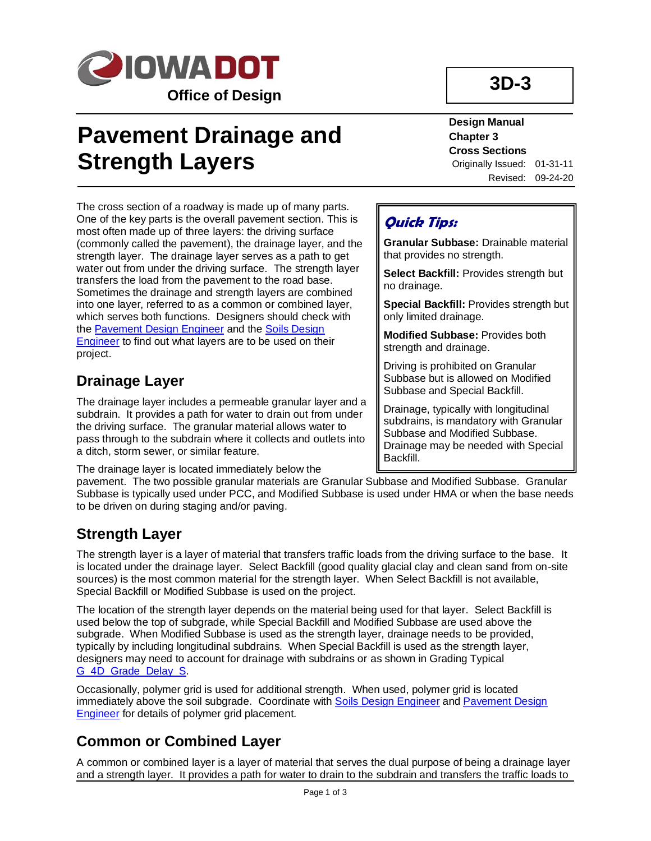

# **Pavement Drainage and Strength Layers**

**3D-3**

**Design Manual Chapter 3 Cross Sections** Originally Issued: 01-31-11 Revised: 09-24-20

The cross section of a roadway is made up of many parts. One of the key parts is the overall pavement section. This is most often made up of three layers: the driving surface (commonly called the pavement), the drainage layer, and the strength layer. The drainage layer serves as a path to get water out from under the driving surface. The strength layer transfers the load from the pavement to the road base. Sometimes the drainage and strength layers are combined into one layer, referred to as a common or combined layer, which serves both functions. Designers should check with th[e Pavement Design Engineer](01B-02/PavementDesignEngineer.pdf) and the [Soils Design](01B-02/SoilsDesignEngineer.pdf)  [Engineer](01B-02/SoilsDesignEngineer.pdf) to find out what layers are to be used on their project.

### **Drainage Layer**

The drainage layer includes a permeable granular layer and a subdrain. It provides a path for water to drain out from under the driving surface. The granular material allows water to pass through to the subdrain where it collects and outlets into a ditch, storm sewer, or similar feature.

The drainage layer is located immediately below the

### **Quick Tips:**

**Granular Subbase:** Drainable material that provides no strength.

**Select Backfill:** Provides strength but no drainage.

**Special Backfill:** Provides strength but only limited drainage.

**Modified Subbase:** Provides both strength and drainage.

Driving is prohibited on Granular Subbase but is allowed on Modified Subbase and Special Backfill.

Drainage, typically with longitudinal subdrains, is mandatory with Granular Subbase and Modified Subbase. Drainage may be needed with Special Backfill.

pavement. The two possible granular materials are Granular Subbase and Modified Subbase. Granular Subbase is typically used under PCC, and Modified Subbase is used under HMA or when the base needs to be driven on during staging and/or paving.

### **Strength Layer**

The strength layer is a layer of material that transfers traffic loads from the driving surface to the base. It is located under the drainage layer. Select Backfill (good quality glacial clay and clean sand from on-site sources) is the most common material for the strength layer. When Select Backfill is not available, Special Backfill or Modified Subbase is used on the project.

The location of the strength layer depends on the material being used for that layer. Select Backfill is used below the top of subgrade, while Special Backfill and Modified Subbase are used above the subgrade. When Modified Subbase is used as the strength layer, drainage needs to be provided, typically by including longitudinal subdrains. When Special Backfill is used as the strength layer, designers may need to account for drainage with subdrains or as shown in Grading Typical [G\\_4D\\_Grade\\_Delay\\_S.](../tnt/PDFsandWebFiles/IndividualPDFs/G_4D_Grade_Delay_S.pdf)

Occasionally, polymer grid is used for additional strength. When used, polymer grid is located immediately above the soil subgrade. Coordinate with [Soils Design Engineer](01B-02/SoilsDesignEngineer.pdf) an[d Pavement Design](01B-02/PavementDesignEngineer.pdf)  [Engineer](01B-02/PavementDesignEngineer.pdf) for details of polymer grid placement.

### **Common or Combined Layer**

A common or combined layer is a layer of material that serves the dual purpose of being a drainage layer and a strength layer. It provides a path for water to drain to the subdrain and transfers the traffic loads to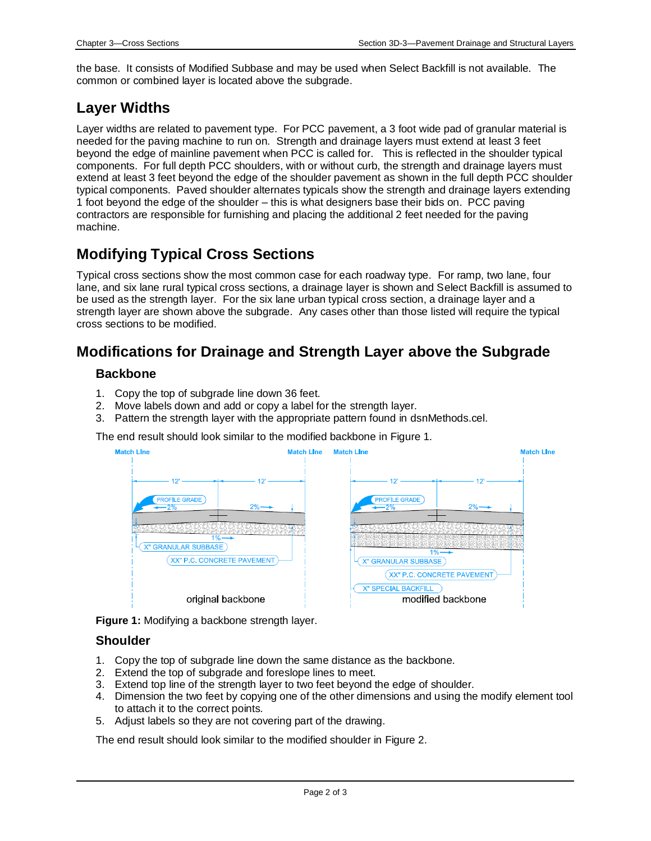the base. It consists of Modified Subbase and may be used when Select Backfill is not available. The common or combined layer is located above the subgrade.

### **Layer Widths**

Layer widths are related to pavement type. For PCC pavement, a 3 foot wide pad of granular material is needed for the paving machine to run on. Strength and drainage layers must extend at least 3 feet beyond the edge of mainline pavement when PCC is called for. This is reflected in the shoulder typical components. For full depth PCC shoulders, with or without curb, the strength and drainage layers must extend at least 3 feet beyond the edge of the shoulder pavement as shown in the full depth PCC shoulder typical components. Paved shoulder alternates typicals show the strength and drainage layers extending 1 foot beyond the edge of the shoulder – this is what designers base their bids on. PCC paving contractors are responsible for furnishing and placing the additional 2 feet needed for the paving machine.

### **Modifying Typical Cross Sections**

Typical cross sections show the most common case for each roadway type. For ramp, two lane, four lane, and six lane rural typical cross sections, a drainage layer is shown and Select Backfill is assumed to be used as the strength layer. For the six lane urban typical cross section, a drainage layer and a strength layer are shown above the subgrade. Any cases other than those listed will require the typical cross sections to be modified.

### **Modifications for Drainage and Strength Layer above the Subgrade**

#### **Backbone**

- 1. Copy the top of subgrade line down 36 feet.
- 2. Move labels down and add or copy a label for the strength layer.
- 3. Pattern the strength layer with the appropriate pattern found in dsnMethods.cel.

#### The end result should look similar to the modified backbone in Figure 1.



**Figure 1:** Modifying a backbone strength layer.

#### **Shoulder**

- 1. Copy the top of subgrade line down the same distance as the backbone.
- 2. Extend the top of subgrade and foreslope lines to meet.
- 3. Extend top line of the strength layer to two feet beyond the edge of shoulder.
- 4. Dimension the two feet by copying one of the other dimensions and using the modify element tool to attach it to the correct points.
- 5. Adjust labels so they are not covering part of the drawing.

The end result should look similar to the modified shoulder in Figure 2.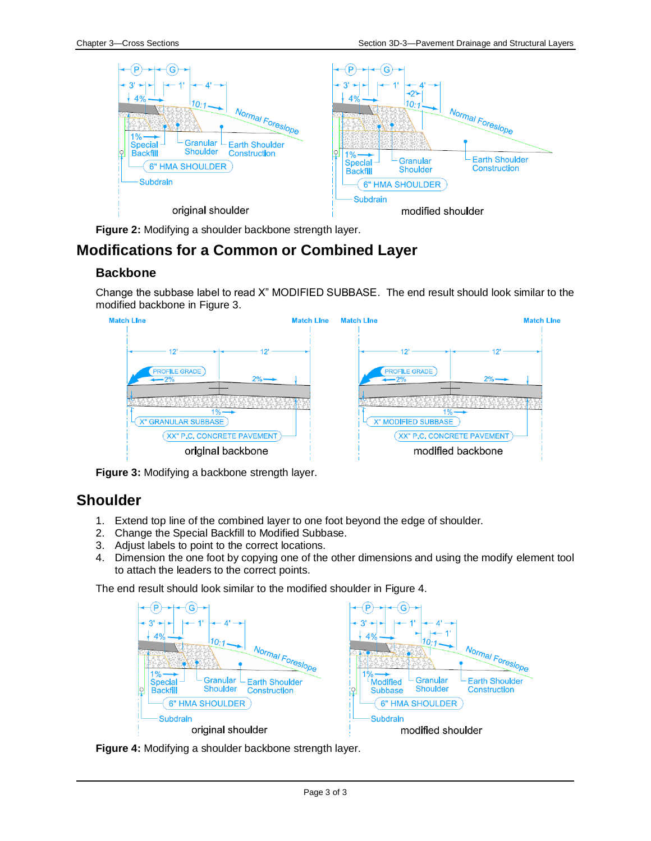

**Figure 2:** Modifying a shoulder backbone strength layer.

### **Modifications for a Common or Combined Layer**

#### **Backbone**

Change the subbase label to read X" MODIFIED SUBBASE. The end result should look similar to the modified backbone in Figure 3.



**Figure 3:** Modifying a backbone strength layer.

#### **Shoulder**

- 1. Extend top line of the combined layer to one foot beyond the edge of shoulder.
- 2. Change the Special Backfill to Modified Subbase.
- 3. Adjust labels to point to the correct locations.
- 4. Dimension the one foot by copying one of the other dimensions and using the modify element tool to attach the leaders to the correct points.

The end result should look similar to the modified shoulder in Figure 4.



**Figure 4:** Modifying a shoulder backbone strength layer.